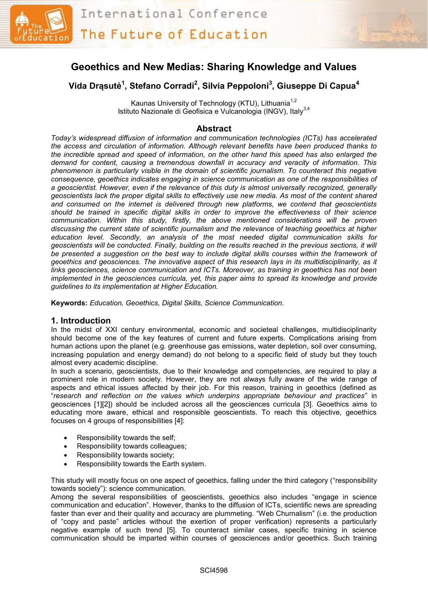



# **Vida Drąsutė 1 , Stefano Corradi<sup>2</sup> , Silvia Peppoloni<sup>3</sup> , Giuseppe Di Capua<sup>4</sup>**

Kaunas University of Technology (KTU), Lithuania<sup>1,2</sup> Istituto Nazionale di Geofisica e Vulcanologia (INGV), Italy<sup>3,4</sup>

# **Abstract**

*Today's widespread diffusion of information and communication technologies (ICTs) has accelerated the access and circulation of information. Although relevant benefits have been produced thanks to the incredible spread and speed of information, on the other hand this speed has also enlarged the demand for content, causing a tremendous downfall in accuracy and veracity of information. This phenomenon is particularly visible in the domain of scientific journalism. To counteract this negative consequence, geoethics indicates engaging in science communication as one of the responsibilities of a geoscientist. However, even if the relevance of this duty is almost universally recognized, generally geoscientists lack the proper digital skills to effectively use new media. As most of the content shared and consumed on the internet is delivered through new platforms, we contend that geoscientists should be trained in specific digital skills in order to improve the effectiveness of their science communication. Within this study, firstly, the above mentioned considerations will be proven discussing the current state of scientific journalism and the relevance of teaching geoethics at higher education level. Secondly, an analysis of the most needed digital communication skills for geoscientists will be conducted. Finally, building on the results reached in the previous sections, it will be presented a suggestion on the best way to include digital skills courses within the framework of geoethics and geosciences. The innovative aspect of this research lays in its multidisciplinarity, as it links geosciences, science communication and ICTs. Moreover, as training in geoethics has not been implemented in the geosciences curricula, yet, this paper aims to spread its knowledge and provide guidelines to its implementation at Higher Education.* 

**Keywords:** *Education, Geoethics, Digital Skills, Science Communication.*

#### **1. Introduction**

In the midst of XXI century environmental, economic and societeal challenges, multidisciplinarity should become one of the key features of current and future experts. Complications arising from human actions upon the planet (e.g. greenhouse gas emissions, water depletion, soil over consuming, increasing population and energy demand) do not belong to a specific field of study but they touch almost every academic discipline.

In such a scenario, geoscientists, due to their knowledge and competencies, are required to play a prominent role in modern society. However, they are not always fully aware of the wide range of aspects and ethical issues affected by their job. For this reason, training in geoethics (defined as "*research and reflection on the values which underpins appropriate behaviour and practices*" in geosciences [1][2]) should be included across all the geosciences curricula [3]. Geoethics aims to educating more aware, ethical and responsible geoscientists. To reach this objective, geoethics focuses on 4 groups of responsibilities [4]:

- Responsibility towards the self;
- Responsibility towards colleagues;
- Responsibility towards society;
- Responsibility towards the Earth system.

This study will mostly focus on one aspect of geoethics, falling under the third category ("responsibility towards society"): science communication.

Among the several responsibilities of geoscientists, geoethics also includes "engage in science communication and education". However, thanks to the diffusion of ICTs, scientific news are spreading faster than ever and their quality and accuracy are plummeting. "Web Churnalism" (i.e. the production of "copy and paste" articles without the exertion of proper verification) represents a particularly negative example of such trend [5]. To counteract similar cases, specific training in science communication should be imparted within courses of geosciences and/or geoethics. Such training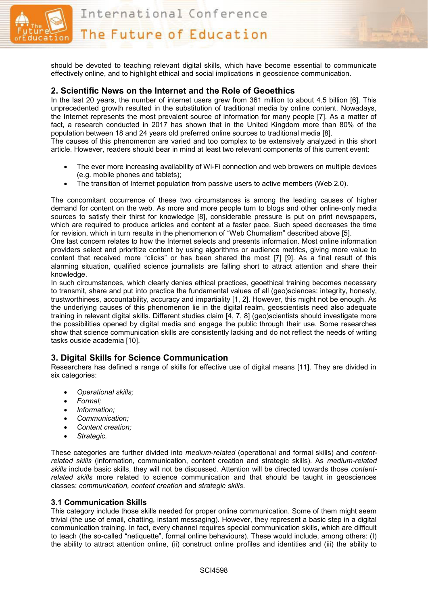

International Conference

The Future of Education



should be devoted to teaching relevant digital skills, which have become essential to communicate effectively online, and to highlight ethical and social implications in geoscience communication.

#### **2. Scientific News on the Internet and the Role of Geoethics**

In the last 20 years, the number of internet users grew from 361 million to about 4.5 billion [6]. This unprecedented growth resulted in the substitution of traditional media by online content. Nowadays, the Internet represents the most prevalent source of information for many people [7]. As a matter of fact, a research conducted in 2017 has shown that in the United Kingdom more than 80% of the population between 18 and 24 years old preferred online sources to traditional media [8]. The causes of this phenomenon are varied and too complex to be extensively analyzed in this short article. However, readers should bear in mind at least two relevant components of this current event:

- The ever more increasing availability of Wi-Fi connection and web browers on multiple devices (e.g. mobile phones and tablets);
- The transition of Internet population from passive users to active members (Web 2.0).

The concomitant occurrence of these two circumstances is among the leading causes of higher demand for content on the web. As more and more people turn to blogs and other online-only media sources to satisfy their thirst for knowledge [8], considerable pressure is put on print newspapers, which are required to produce articles and content at a faster pace. Such speed decreases the time for revision, which in turn results in the phenomenon of "Web Churnalism" described above [5].

One last concern relates to how the Internet selects and presents information. Most online information providers select and prioritize content by using algorithms or audience metrics, giving more value to content that received more "clicks" or has been shared the most [7] [9]. As a final result of this alarming situation, qualified science journalists are falling short to attract attention and share their knowledge.

In such circumstances, which clearly denies ethical practices, geoethical training becomes necessary to transmit, share and put into practice the fundamental values of all (geo)sciences: integrity, honesty, trustworthiness, accountability, accuracy and impartiality [1, 2]. However, this might not be enough. As the underlying causes of this phenomenon lie in the digital realm, geoscientists need also adequate training in relevant digital skills. Different studies claim [4, 7, 8] (geo)scientists should investigate more the possibilities opened by digital media and engage the public through their use. Some researches show that science communication skills are consistently lacking and do not reflect the needs of writing tasks ouside academia [10].

# **3. Digital Skills for Science Communication**

Researchers has defined a range of skills for effective use of digital means [11]. They are divided in six categories:

- *Operational skills;*
- *Formal;*
- *Information;*
- *Communication;*
- *Content creation;*
- *Strategic.*

These categories are further divided into *medium-related* (operational and formal skills) and *contentrelated skills* (information, communication, content creation and strategic skills). As *medium-related skills* include basic skills, they will not be discussed. Attention will be directed towards those *contentrelated skills* more related to science communication and that should be taught in geosciences classes: *communication, content creation* and *strategic skills*.

#### **3.1 Communication Skills**

This category include those skills needed for proper online communication. Some of them might seem trivial (the use of email, chatting, instant messaging). However, they represent a basic step in a digital communication training. In fact, every channel requires special communication skills, which are difficult to teach (the so-called "netiquette", formal online behaviours). These would include, among others: (I) the ability to attract attention online, (ii) construct online profiles and identities and (iii) the ability to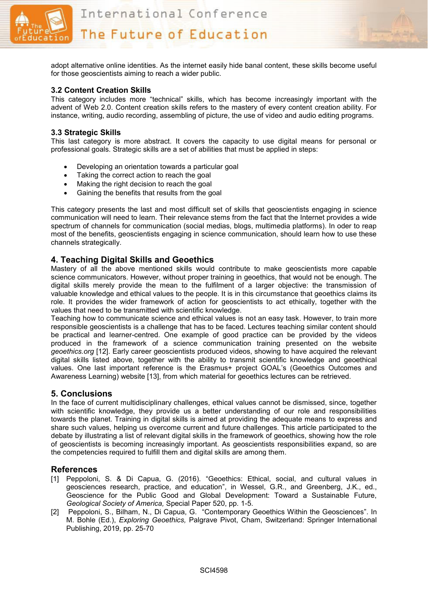

The Future of Education



adopt alternative online identities. As the internet easily hide banal content, these skills become useful for those geoscientists aiming to reach a wider public.

#### **3.2 Content Creation Skills**

This category includes more "technical" skills, which has become increasingly important with the advent of Web 2.0. Content creation skills refers to the mastery of every content creation ability. For instance, writing, audio recording, assembling of picture, the use of video and audio editing programs.

#### **3.3 Strategic Skills**

This last category is more abstract. It covers the capacity to use digital means for personal or professional goals. Strategic skills are a set of abilities that must be applied in steps:

- Developing an orientation towards a particular goal
- Taking the correct action to reach the goal
- Making the right decision to reach the goal
- Gaining the benefits that results from the goal

This category presents the last and most difficult set of skills that geoscientists engaging in science communication will need to learn. Their relevance stems from the fact that the Internet provides a wide spectrum of channels for communication (social medias, blogs, multimedia platforms). In oder to reap most of the benefits, geoscientists engaging in science communication, should learn how to use these channels strategically.

# **4. Teaching Digital Skills and Geoethics**

Mastery of all the above mentioned skills would contribute to make geoscientists more capable science communicators. However, without proper training in geoethics, that would not be enough. The digital skills merely provide the mean to the fulfilment of a larger objective: the transmission of valuable knowledge and ethical values to the people. It is in this circumstance that geoethics claims its role. It provides the wider framework of action for geoscientists to act ethically, together with the values that need to be transmitted with scientific knowledge.

Teaching how to communicate science and ethical values is not an easy task. However, to train more responsible geoscientists is a challenge that has to be faced. Lectures teaching similar content should be practical and learner-centred. One example of good practice can be provided by the videos produced in the framework of a science communication training presented on the website *geoethics.org* [12]. Early career geoscientists produced videos, showing to have acquired the relevant digital skills listed above, together with the ability to transmit scientific knowledge and geoethical values. One last important reference is the Erasmus+ project GOAL's (Geoethics Outcomes and Awareness Learning) website [13], from which material for geoethics lectures can be retrieved.

#### **5. Conclusions**

In the face of current multidisciplinary challenges, ethical values cannot be dismissed, since, together with scientific knowledge, they provide us a better understanding of our role and responsibilities towards the planet. Training in digital skills is aimed at providing the adequate means to express and share such values, helping us overcome current and future challenges. This article participated to the debate by illustrating a list of relevant digital skills in the framework of geoethics, showing how the role of geoscientists is becoming increasingly important. As geoscientists responsibilities expand, so are the competencies required to fulfill them and digital skills are among them.

# **References**

- [1] Peppoloni, S. & Di Capua, G. (2016). "Geoethics: Ethical, social, and cultural values in geosciences research, practice, and education", in Wessel, G.R., and Greenberg, J.K., ed., Geoscience for the Public Good and Global Development: Toward a Sustainable Future, *Geological Society of America,* Special Paper 520, pp. 1-5.
- [2] Peppoloni, S., Bilham, N., Di Capua, G. "Contemporary Geoethics Within the Geosciences". In M. Bohle (Ed.), *Exploring Geoethics,* Palgrave Pivot, Cham, Switzerland: Springer International Publishing, 2019, pp. 25-70